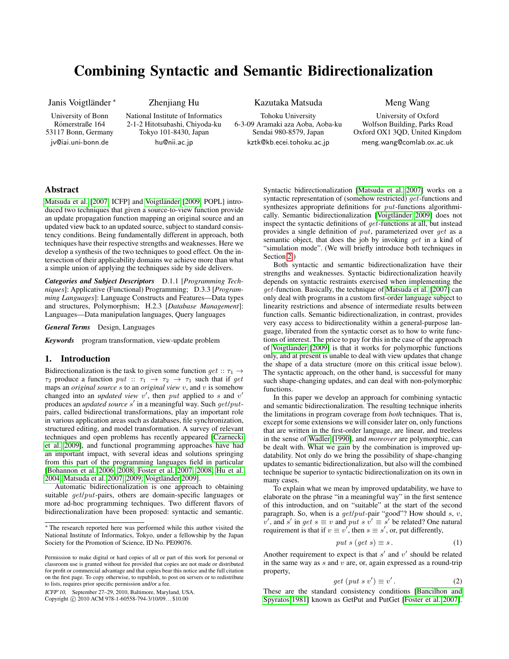# Combining Syntactic and Semantic Bidirectionalization

Janis Voigtländer\*

University of Bonn Römerstraße 164 53117 Bonn, Germany jv@iai.uni-bonn.de

Zhenjiang Hu

National Institute of Informatics 2-1-2 Hitotsubashi, Chiyoda-ku Tokyo 101-8430, Japan hu@nii.ac.jp

Kazutaka Matsuda

Tohoku University 6-3-09 Aramaki aza Aoba, Aoba-ku Sendai 980-8579, Japan kztk@kb.ecei.tohoku.ac.jp

Meng Wang University of Oxford Wolfson Building, Parks Road

Oxford OX1 3QD, United Kingdom meng.wang@comlab.ox.ac.uk

# Abstract

[Matsuda et al.](#page-11-0) [\[2007,](#page-11-0) ICFP] and Voigtländer [\[2009,](#page-11-1) POPL] introduced two techniques that given a source-to-view function provide an update propagation function mapping an original source and an updated view back to an updated source, subject to standard consistency conditions. Being fundamentally different in approach, both techniques have their respective strengths and weaknesses. Here we develop a synthesis of the two techniques to good effect. On the intersection of their applicability domains we achieve more than what a simple union of applying the techniques side by side delivers.

*Categories and Subject Descriptors* D.1.1 [*Programming Techniques*]: Applicative (Functional) Programming; D.3.3 [*Programming Languages*]: Language Constructs and Features—Data types and structures, Polymorphism; H.2.3 [*Database Management*]: Languages—Data manipulation languages, Query languages

*General Terms* Design, Languages

*Keywords* program transformation, view-update problem

# 1. Introduction

Bidirectionalization is the task to given some function  $get :: \tau_1 \rightarrow$  $\tau_2$  produce a function  $put :: \tau_1 \rightarrow \tau_2 \rightarrow \tau_1$  such that if  $get$ maps an *original source* s to an *original view* v, and v is somehow changed into an *updated view*  $v'$ , then put applied to s and  $v'$ produces an *updated source* s' in a meaningful way. Such get/putpairs, called bidirectional transformations, play an important role in various application areas such as databases, file synchronization, structured editing, and model transformation. A survey of relevant techniques and open problems has recently appeared [\[Czarnecki](#page-11-2) [et al. 2009\]](#page-11-2), and functional programming approaches have had an important impact, with several ideas and solutions springing from this part of the programming languages field in particular [\[Bohannon et al. 2006,](#page-11-3) [2008;](#page-11-4) [Foster et al. 2007,](#page-11-5) [2008;](#page-11-6) [Hu et al.](#page-11-7) [2004;](#page-11-7) [Matsuda et al. 2007,](#page-11-0) [2009;](#page-11-8) Voigtländer 2009].

Automatic bidirectionalization is one approach to obtaining suitable *get/put-pairs*, others are domain-specific languages or more ad-hoc programming techniques. Two different flavors of bidirectionalization have been proposed: syntactic and semantic.

ICFP'10, September 27–29, 2010, Baltimore, Maryland, USA.

Copyright © 2010 ACM 978-1-60558-794-3/10/09... \$10.00

Syntactic bidirectionalization [\[Matsuda et al. 2007\]](#page-11-0) works on a syntactic representation of (somehow restricted) *qet*-functions and synthesizes appropriate definitions for put-functions algorithmically. Semantic bidirectionalization [Voigtländer 2009] does not inspect the syntactic definitions of get-functions at all, but instead provides a single definition of put, parameterized over get as a semantic object, that does the job by invoking *get* in a kind of "simulation mode". (We will briefly introduce both techniques in Section [2.](#page-1-0))

Both syntactic and semantic bidirectionalization have their strengths and weaknesses. Syntactic bidirectionalization heavily depends on syntactic restraints exercised when implementing the get-function. Basically, the technique of [Matsuda et al.](#page-11-0) [\[2007\]](#page-11-0) can only deal with programs in a custom first-order language subject to linearity restrictions and absence of intermediate results between function calls. Semantic bidirectionalization, in contrast, provides very easy access to bidirectionality within a general-purpose language, liberated from the syntactic corset as to how to write functions of interest. The price to pay for this in the case of the approach of [Voigtlander](#page-11-1) [\[2009\]](#page-11-1) is that it works for polymorphic functions ¨ only, and at present is unable to deal with view updates that change the shape of a data structure (more on this critical issue below). The syntactic approach, on the other hand, is successful for many such shape-changing updates, and can deal with non-polymorphic functions.

In this paper we develop an approach for combining syntactic and semantic bidirectionalization. The resulting technique inherits the limitations in program coverage from *both* techniques. That is, except for some extensions we will consider later on, only functions that are written in the first-order language, are linear, and treeless in the sense of [Wadler](#page-11-9) [\[1990\]](#page-11-9), and *moreover* are polymorphic, can be dealt with. What we gain by the combination is improved updatability. Not only do we bring the possibility of shape-changing updates to semantic bidirectionalization, but also will the combined technique be superior to syntactic bidirectionalization on its own in many cases.

To explain what we mean by improved updatability, we have to elaborate on the phrase "in a meaningful way" in the first sentence of this introduction, and on "suitable" at the start of the second paragraph. So, when is a  $get/put$ -pair "good"? How should s, v, v', and s' in get  $s \equiv v$  and put  $s v' \equiv s'$  be related? One natural requirement is that if  $v \equiv v'$ , then  $s \equiv s'$ , or, put differently,

<span id="page-0-1"></span>
$$
put\ s\ (get\ s) \equiv s\,. \tag{1}
$$

Another requirement to expect is that  $s'$  and  $v'$  should be related in the same way as  $s$  and  $v$  are, or, again expressed as a round-trip property,

<span id="page-0-0"></span>
$$
get (put s v') \equiv v'.
$$
 (2)

These are the standard consistency conditions [\[Bancilhon and](#page-11-10) [Spyratos 1981\]](#page-11-10) known as GetPut and PutGet [\[Foster et al. 2007\]](#page-11-5).

<sup>∗</sup> The research reported here was performed while this author visited the National Institute of Informatics, Tokyo, under a fellowship by the Japan Society for the Promotion of Science, ID No. PE09076.

Permission to make digital or hard copies of all or part of this work for personal or classroom use is granted without fee provided that copies are not made or distributed for profit or commercial advantage and that copies bear this notice and the full citation on the first page. To copy otherwise, to republish, to post on servers or to redistribute to lists, requires prior specific permission and/or a fee.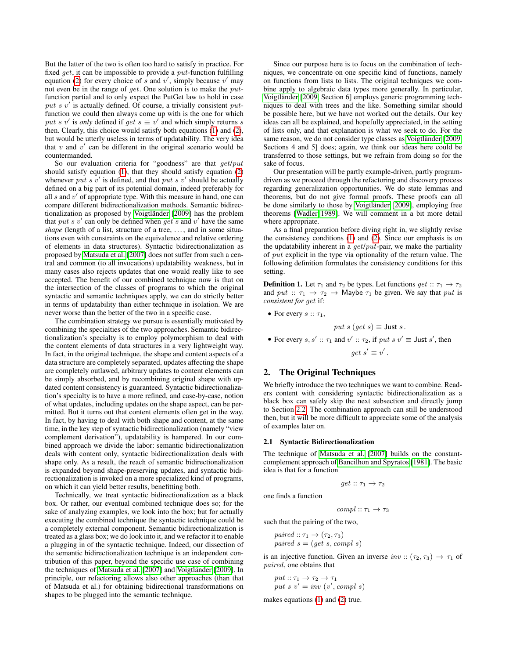But the latter of the two is often too hard to satisfy in practice. For fixed *qet*, it can be impossible to provide a *put*-function fulfilling equation [\(2\)](#page-0-0) for every choice of s and v', simply because v' may not even be in the range of get. One solution is to make the putfunction partial and to only expect the PutGet law to hold in case put s v' is actually defined. Of course, a trivially consistent putfunction we could then always come up with is the one for which put s v' is only defined if get  $s \equiv v'$  and which simply returns s then. Clearly, this choice would satisfy both equations [\(1\)](#page-0-1) and [\(2\)](#page-0-0), but would be utterly useless in terms of updatability. The very idea that  $v$  and  $v'$  can be different in the original scenario would be countermanded.

So our evaluation criteria for "goodness" are that get/put should satisfy equation [\(1\)](#page-0-1), that they should satisfy equation [\(2\)](#page-0-0) whenever put s  $v'$  is defined, and that put s v' should be actually defined on a big part of its potential domain, indeed preferably for all  $s$  and  $v'$  of appropriate type. With this measure in hand, one can compare different bidirectionalization methods. Semantic bidirec-tionalization as proposed by Voigtländer [\[2009\]](#page-11-1) has the problem that put s  $v'$  can only be defined when get s and  $v'$  have the same *shape* (length of a list, structure of a tree, ..., and in some situations even with constraints on the equivalence and relative ordering of elements in data structures). Syntactic bidirectionalization as proposed by [Matsuda et al.](#page-11-0) [\[2007\]](#page-11-0) does not suffer from such a central and common (to all invocations) updatability weakness, but in many cases also rejects updates that one would really like to see accepted. The benefit of our combined technique now is that on the intersection of the classes of programs to which the original syntactic and semantic techniques apply, we can do strictly better in terms of updatability than either technique in isolation. We are never worse than the better of the two in a specific case.

The combination strategy we pursue is essentially motivated by combining the specialties of the two approaches. Semantic bidirectionalization's specialty is to employ polymorphism to deal with the content elements of data structures in a very lightweight way. In fact, in the original technique, the shape and content aspects of a data structure are completely separated, updates affecting the shape are completely outlawed, arbitrary updates to content elements can be simply absorbed, and by recombining original shape with updated content consistency is guaranteed. Syntactic bidirectionalization's specialty is to have a more refined, and case-by-case, notion of what updates, including updates on the shape aspect, can be permitted. But it turns out that content elements often get in the way. In fact, by having to deal with both shape and content, at the same time, in the key step of syntactic bidirectionalization (namely "view complement derivation"), updatability is hampered. In our combined approach we divide the labor: semantic bidirectionalization deals with content only, syntactic bidirectionalization deals with shape only. As a result, the reach of semantic bidirectionalization is expanded beyond shape-preserving updates, and syntactic bidirectionalization is invoked on a more specialized kind of programs, on which it can yield better results, benefitting both.

Technically, we treat syntactic bidirectionalization as a black box. Or rather, our eventual combined technique does so; for the sake of analyzing examples, we look into the box; but for actually executing the combined technique the syntactic technique could be a completely external component. Semantic bidirectionalization is treated as a glass box; we do look into it, and we refactor it to enable a plugging in of the syntactic technique. Indeed, our dissection of the semantic bidirectionalization technique is an independent contribution of this paper, beyond the specific use case of combining the techniques of [Matsuda et al.](#page-11-0) [\[2007\]](#page-11-0) and Voigtländer [\[2009\]](#page-11-1). In principle, our refactoring allows also other approaches (than that of Matsuda et al.) for obtaining bidirectional transformations on shapes to be plugged into the semantic technique.

Since our purpose here is to focus on the combination of techniques, we concentrate on one specific kind of functions, namely on functions from lists to lists. The original techniques we combine apply to algebraic data types more generally. In particular, Voigtländer [\[2009,](#page-11-1) Section 6] employs generic programming techniques to deal with trees and the like. Something similar should be possible here, but we have not worked out the details. Our key ideas can all be explained, and hopefully appreciated, in the setting of lists only, and that explanation is what we seek to do. For the same reason, we do not consider type classes as Voigtländer [\[2009,](#page-11-1) Sections 4 and 5] does; again, we think our ideas here could be transferred to those settings, but we refrain from doing so for the sake of focus.

Our presentation will be partly example-driven, partly programdriven as we proceed through the refactoring and discovery process regarding generalization opportunities. We do state lemmas and theorems, but do not give formal proofs. These proofs can all be done similarly to those by Voigtländer [\[2009\]](#page-11-1), employing free theorems [\[Wadler 1989\]](#page-11-11). We will comment in a bit more detail where appropriate.

As a final preparation before diving right in, we slightly revise the consistency conditions [\(1\)](#page-0-1) and [\(2\)](#page-0-0). Since our emphasis is on the updatability inherent in a  $get/put$ -pair, we make the partiality of put explicit in the type via optionality of the return value. The following definition formulates the consistency conditions for this setting.

<span id="page-1-1"></span>**Definition 1.** Let  $\tau_1$  and  $\tau_2$  be types. Let functions  $get :: \tau_1 \rightarrow \tau_2$ and put ::  $\tau_1 \rightarrow \tau_2 \rightarrow$  Maybe  $\tau_1$  be given. We say that put is *consistent for* get if:

• For every  $s :: \tau_1$ ,

$$
put s (get s) \equiv Just s.
$$

• For every  $s, s' :: \tau_1$  and  $v' :: \tau_2$ , if  $put \ s \ v' \equiv$  Just  $s'$ , then

$$
get \ s' \equiv v'
$$

.

# <span id="page-1-0"></span>2. The Original Techniques

We briefly introduce the two techniques we want to combine. Readers content with considering syntactic bidirectionalization as a black box can safely skip the next subsection and directly jump to Section [2.2.](#page-3-0) The combination approach can still be understood then, but it will be more difficult to appreciate some of the analysis of examples later on.

### <span id="page-1-2"></span>2.1 Syntactic Bidirectionalization

The technique of [Matsuda et al.](#page-11-0) [\[2007\]](#page-11-0) builds on the constantcomplement approach of [Bancilhon and Spyratos](#page-11-10) [\[1981\]](#page-11-10). The basic idea is that for a function

$$
get :: \tau_1 \to \tau_2
$$

one finds a function

$$
compl::\tau_1\to\tau_3
$$

such that the pairing of the two,

paired  $:\tau_1 \to (\tau_2, \tau_3)$ paired  $s = (get \, s, \, compl \, s)$ 

is an injective function. Given an inverse  $inv :: (\tau_2, \tau_3) \rightarrow \tau_1$  of paired, one obtains that

$$
\begin{array}{l} put::\tau_1\rightarrow\tau_2\rightarrow\tau_1\\ put\ s\ v'=inv\ (v',compl\ s) \end{array}
$$

makes equations [\(1\)](#page-0-1) and [\(2\)](#page-0-0) true.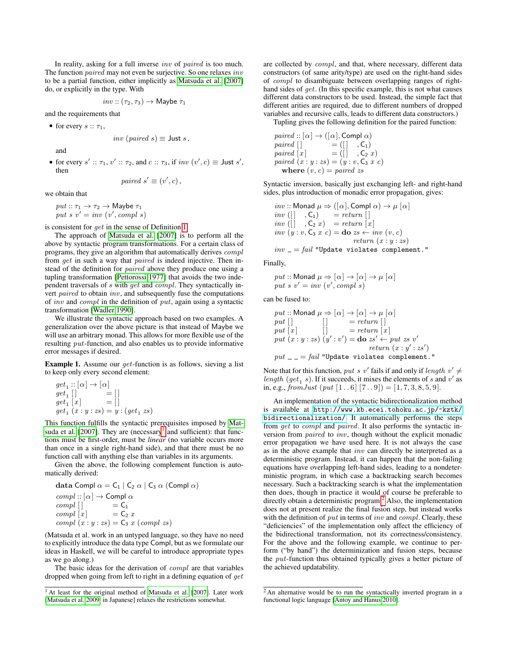In reality, asking for a full inverse inv of paired is too much. The function paired may not even be surjective. So one relaxes inv to be a partial function, either implicitly as [Matsuda et al.](#page-11-0) [\[2007\]](#page-11-0) do, or explicitly in the type. With

$$
inv: (\tau_2, \tau_3) \to \mathsf{Maybe}\; \tau_1
$$

and the requirements that

• for every  $s :: \tau_1$ ,

$$
inv\ (paired\ s) \equiv Just\ s\,,
$$

and

• for every  $s' :: \tau_1, v' :: \tau_2$ , and  $c :: \tau_3$ , if inv  $(v', c) \equiv$  Just  $s'$ , then

$$
paired s' \equiv (v', c),
$$

we obtain that

 $put: : \tau_1 \rightarrow \tau_2 \rightarrow$  Maybe  $\tau_1$ put s  $v' = inv(v', compl s)$ 

is consistent for get in the sense of Definition [1.](#page-1-1)

The approach of [Matsuda et al.](#page-11-0) [\[2007\]](#page-11-0) is to perform all the above by syntactic program transformations. For a certain class of programs, they give an algorithm that automatically derives compl from get in such a way that paired is indeed injective. Then instead of the definition for paired above they produce one using a tupling transformation [\[Pettorossi 1977\]](#page-11-12) that avoids the two independent traversals of s with get and compl. They syntactically invert *paired* to obtain *inv*, and subsequently fuse the computations of inv and compl in the definition of put, again using a syntactic transformation [\[Wadler 1990\]](#page-11-9).

We illustrate the syntactic approach based on two examples. A generalization over the above picture is that instead of Maybe we will use an arbitrary monad. This allows for more flexible use of the resulting put-function, and also enables us to provide informative error messages if desired.

**Example 1.** Assume our *get*-function is as follows, sieving a list to keep only every second element:

```
get_1 : [\alpha] \rightarrow [\alpha]get_1 [] = []
get_1[x] = []get_1(x:y:zs) = y:(get_1zs)
```
This function fulfills the syntactic prerequisites imposed by [Mat](#page-11-0)[suda et al.](#page-11-0)  $[2007]$ . They are (necessary<sup>[1](#page-2-0)</sup> and sufficient): that functions must be first-order, must be *linear* (no variable occurs more than once in a single right-hand side), and that there must be no function call with anything else than variables in its arguments.

Given the above, the following complement function is automatically derived:

```
data Compl\alpha = C_1 | C_2 \alpha | C_3 \alpha (Compl\alpha)
compl :: [\alpha] \rightarrow Compl \alphacompl [] = C_1compl\ [x] = \mathsf{C}_2\ xcompl (x:y:zs) = \mathsf{C}_3 x (compl zs)
```
(Matsuda et al. work in an untyped language, so they have no need to explicitly introduce the data type Compl, but as we formulate our ideas in Haskell, we will be careful to introduce appropriate types as we go along.)

The basic ideas for the derivation of *compl* are that variables dropped when going from left to right in a defining equation of get

are collected by compl, and that, where necessary, different data constructors (of same arity/type) are used on the right-hand sides of compl to disambiguate between overlapping ranges of righthand sides of get. (In this specific example, this is not what causes different data constructors to be used. Instead, the simple fact that different arities are required, due to different numbers of dropped variables and recursive calls, leads to different data constructors.)

Tupling gives the following definition for the paired function:

```
paired :: [\alpha] \rightarrow ([\alpha], \text{Compl } \alpha)paired [ = ([ , C_1)paired [x] = ([ , \mathsf{C}_2 x)paired (x : y : zs) = (y : v, \mathsf{C}_3 x c)where (v, c) = paired zs
```
Syntactic inversion, basically just exchanging left- and right-hand sides, plus introduction of monadic error propagation, gives:

$$
inv:: \text{Monad } \mu \Rightarrow ([\alpha], \text{Compl } \alpha) \rightarrow \mu [\alpha]
$$
  
\n
$$
inv [[], \mathsf{C}_1) = return [ ]
$$
  
\n
$$
inv ([], \mathsf{C}_2 x) = return [x]
$$
  
\n
$$
inv (y : v, \mathsf{C}_3 x c) = \text{do } zs \leftarrow inv (v, c)
$$
  
\n
$$
return (x : y : zs)
$$
  
\n
$$
inv = fail \text{ "Update violates complement."}
$$

Finally,

put :: Monad 
$$
\mu \Rightarrow [\alpha] \rightarrow [\alpha] \rightarrow \mu [\alpha]
$$
  
put  $s v' = inv(v', compl s)$ 

can be fused to:

$$
put:: \text{Monad } \mu \Rightarrow [\alpha] \to [\alpha] \to \mu [\alpha]
$$
\n
$$
put [[x] \quad [[] \quad = return [[x]
$$
\n
$$
put (x:y:zs) (y':v') = \text{do } zs' \leftarrow put zs v'
$$
\n
$$
put ... = fail "Update violates complement."
$$

Note that for this function, put s v' fails if and only if length  $v' \neq$ length (get<sub>1</sub> s). If it succeeds, it mixes the elements of s and v' as in, e.g., from Just  $(put [1..6] [7..9]) = [1, 7, 3, 8, 5, 9].$ 

An implementation of the syntactic bidirectionalization method is available at [http://www.kb.ecei.tohoku.ac.jp/~kztk/](http://www.kb.ecei.tohoku.ac.jp/~kztk/bidirectionalization/) [bidirectionalization/](http://www.kb.ecei.tohoku.ac.jp/~kztk/bidirectionalization/). It automatically performs the steps from get to compl and paired. It also performs the syntactic inversion from paired to inv, though without the explicit monadic error propagation we have used here. It is not always the case as in the above example that inv can directly be interpreted as a deterministic program. Instead, it can happen that the non-failing equations have overlapping left-hand sides, leading to a nondeterministic program, in which case a backtracking search becomes necessary. Such a backtracking search is what the implementation then does, though in practice it would of course be preferable to directly obtain a deterministic program.<sup>[2](#page-2-1)</sup> Also, the implementation does not at present realize the final fusion step, but instead works with the definition of put in terms of inv and  $compl$ . Clearly, these "deficiencies" of the implementation only affect the efficiency of the bidirectional transformation, not its correctness/consistency. For the above and the following example, we continue to perform ("by hand") the determinization and fusion steps, because the *put*-function thus obtained typically gives a better picture of the achieved updatability.

<span id="page-2-0"></span><sup>&</sup>lt;sup>1</sup> At least for the original method of [Matsuda et al.](#page-11-0) [\[2007\]](#page-11-0). Later work [\[Matsuda et al. 2009,](#page-11-8) in Japanese] relaxes the restrictions somewhat.

<span id="page-2-3"></span><span id="page-2-1"></span><sup>&</sup>lt;sup>2</sup> An alternative would be to run the syntactically inverted program in a functional logic language [\[Antoy and Hanus 2010\]](#page-11-13).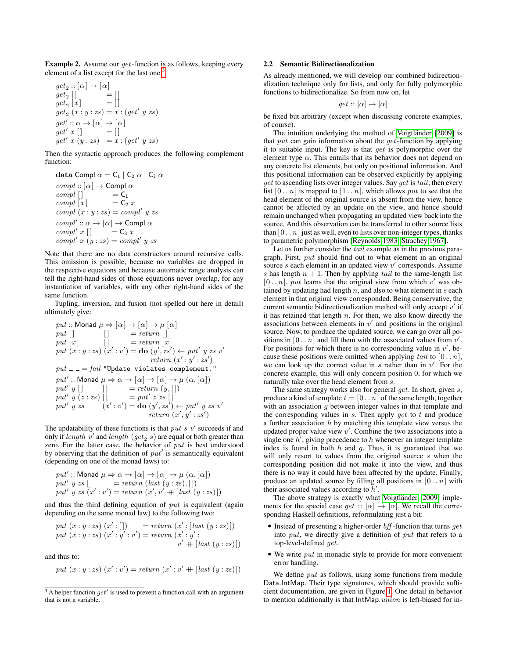Example 2. Assume our *get*-function is as follows, keeping every element of a list except for the last one:<sup>[3](#page-3-1)</sup>

$$
get_2 :: [\alpha] \rightarrow [\alpha]
$$
  
\n
$$
get_2 [] = []
$$
  
\n
$$
get_2 [x] = []
$$
  
\n
$$
get'_2 (x : y : zs) = x : (get' y zs)
$$
  
\n
$$
get' :: \alpha \rightarrow [\alpha] \rightarrow [\alpha]
$$
  
\n
$$
get' x [] = []
$$
  
\n
$$
get' x (y : zs) = x : (get' y zs)
$$

Then the syntactic approach produces the following complement function:

$$
\begin{array}{l} \textbf{data Compl }\alpha=\mathrm{C}_1 \mid \mathrm{C}_2 \; \alpha \mid \mathrm{C}_3 \; \alpha \\ \textit{compl}::[\alpha] \rightarrow \mathrm{Compl} \; \alpha \\ \textit{compl }[] \qquad = \mathrm{C}_1 \\ \textit{compl } [x] \qquad = \mathrm{C}_2 \; x \\ \textit{compl } (x:y:zs) = \textit{compl'} \; y \; zs \\ \textit{compl'}::\alpha \rightarrow [\alpha] \rightarrow \mathrm{Compl} \; \alpha \\ \textit{compl'} x \; [] \qquad = \mathrm{C}_3 \; x \\ \textit{compl'} x \; (y:zs) = \textit{compl'} \; y \; zs \end{array}
$$

Note that there are no data constructors around recursive calls. This omission is possible, because no variables are dropped in the respective equations and because automatic range analysis can tell the right-hand sides of those equations never overlap, for any instantiation of variables, with any other right-hand sides of the same function.

Tupling, inversion, and fusion (not spelled out here in detail) ultimately give:

put :: Monad µ ⇒ [α] → [α] → µ [α] put [ ] [ ] = return [ ] put [x ] [ ] = return [x ] put (x : y : zs) (x 0 : v 0 ) = do (y 0 , zs<sup>0</sup> ) ← put<sup>0</sup> y zs v<sup>0</sup> return (x 0 : y 0 : zs<sup>0</sup> ) put = fail "Update violates complement." put<sup>0</sup> :: Monad µ ⇒ α → [α] → [α] → µ (α, [α]) put<sup>0</sup> y [ ] [ ] = return (y, [ ]) put<sup>0</sup> y (z : zs) [ ] = put<sup>0</sup> z zs [ ] put<sup>0</sup> y zs (x 0 : v 0 ) = do (y 0 , zs<sup>0</sup> ) ← put<sup>0</sup> y zs v<sup>0</sup> return (x 0 , y 0 : zs<sup>0</sup> )

The updatability of these functions is that  $put\ s\ v'$  succeeds if and only if length  $v'$  and length (get<sub>2</sub> s) are equal or both greater than zero. For the latter case, the behavior of put is best understood by observing that the definition of  $put'$  is semantically equivalent (depending on one of the monad laws) to:

$$
put' :: \text{Monad } \mu \Rightarrow \alpha \rightarrow [\alpha] \rightarrow [\alpha] \rightarrow \mu (\alpha, [\alpha])
$$
  
put' y zs [] = return (last (y : zs), [])  
put' y zs (x' : v') = return (x', v' + [\text{last } (y : zs)])

and thus the third defining equation of put is equivalent (again depending on the same monad law) to the following two:

put 
$$
(x : y : zs)
$$
  $(x' : [] ) = return (x' : [last (y : zs)])$   
put  $(x : y : zs)$   $(x' : y' : v') = return (x' : y' : ...$   
 $v' + [last (y : zs)])$ 

and thus to:

$$
put (x : y : zs) (x' : v') = return (x' : v' + [last (y : zs)])
$$

# <span id="page-3-0"></span>2.2 Semantic Bidirectionalization

As already mentioned, we will develop our combined bidirectionalization technique only for lists, and only for fully polymorphic functions to bidirectionalize. So from now on, let

$$
get :: [\alpha] \rightarrow [\alpha]
$$

be fixed but arbitrary (except when discussing concrete examples, of course).

The intuition underlying the method of Voigtländer [\[2009\]](#page-11-1) is that  $put$  can gain information about the  $get$ -function by applying it to suitable input. The key is that get is polymorphic over the element type  $\alpha$ . This entails that its behavior does not depend on any concrete list elements, but only on positional information. And this positional information can be observed explicitly by applying get to ascending lists over integer values. Say get is tail, then every list  $[0 \tcdot n]$  is mapped to  $[1 \tcdot n]$ , which allows put to see that the head element of the original source is absent from the view, hence cannot be affected by an update on the view, and hence should remain unchanged when propagating an updated view back into the source. And this observation can be transferred to other source lists than  $[0 \dots n]$  just as well, even to lists over non-integer types, thanks to parametric polymorphism [\[Reynolds 1983;](#page-11-14) [Strachey 1967\]](#page-11-15).

Let us further consider the *tail* example as in the previous paragraph. First, put should find out to what element in an original source  $s$  each element in an updated view  $v'$  corresponds. Assume s has length  $n + 1$ . Then by applying tail to the same-length list  $[0..n]$ , put learns that the original view from which v' was obtained by updating had length  $n$ , and also to what element in  $s$  each element in that original view corresponded. Being conservative, the current semantic bidirectionalization method will only accept  $v'$  if it has retained that length  $n$ . For then, we also know directly the associations between elements in  $v'$  and positions in the original source. Now, to produce the updated source, we can go over all positions in  $[0 \dots n]$  and fill them with the associated values from  $v'$ . For positions for which there is no corresponding value in  $v'$ , because these positions were omitted when applying tail to  $[0.. n]$ , we can look up the correct value in  $s$  rather than in  $v'$ . For the concrete example, this will only concern position 0, for which we naturally take over the head element from s.

The same strategy works also for general *get*. In short, given s, produce a kind of template  $t = [0 \dots n]$  of the same length, together with an association  $g$  between integer values in that template and the corresponding values in  $s$ . Then apply  $get$  to  $t$  and produce a further association  $h$  by matching this template view versus the updated proper value view  $v'$ . Combine the two associations into a single one  $h'$ , giving precedence to h whenever an integer template index is found in both  $h$  and  $g$ . Thus, it is guaranteed that we will only resort to values from the original source  $s$  when the corresponding position did not make it into the view, and thus there is no way it could have been affected by the update. Finally, produce an updated source by filling all positions in  $[0..n]$  with their associated values according to  $\tilde{h}'$ .

The above strategy is exactly what Voigtländer [\[2009\]](#page-11-1) implements for the special case get  $:: [\alpha] \rightarrow [\alpha]$ . We recall the corresponding Haskell definitions, reformulating just a bit:

- Instead of presenting a higher-order  $bf$ -function that turns  $get$ into put, we directly give a definition of put that refers to a top-level-defined get.
- $\bullet$  We write *put* in monadic style to provide for more convenient error handling.

We define *put* as follows, using some functions from module Data.IntMap. Their type signatures, which should provide sufficient documentation, are given in Figure [1.](#page-4-0) One detail in behavior to mention additionally is that IntMap.union is left-biased for in-

<span id="page-3-1"></span> $3$  A helper function  $get'$  is used to prevent a function call with an argument that is not a variable.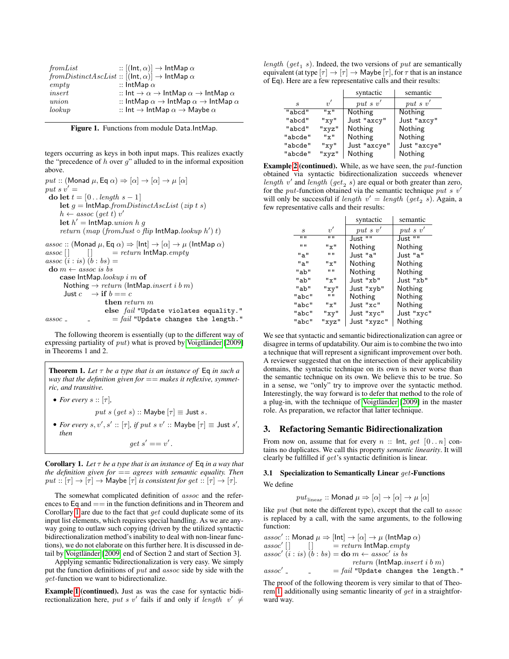| $:: [(\text{Int}, \alpha)] \rightarrow \text{IntMap }\alpha$                        |
|-------------------------------------------------------------------------------------|
| $from DistinctAscList::[(Int, \alpha)] \rightarrow IntMap \alpha$                   |
| $::$ IntMap $\alpha$                                                                |
| :: Int $\rightarrow \alpha \rightarrow$ IntMap $\alpha \rightarrow$ IntMap $\alpha$ |
| :: IntMap $\alpha$ → IntMap $\alpha$ → IntMap $\alpha$                              |
| $\therefore$ Int $\rightarrow$ IntMap $\alpha \rightarrow$ Maybe $\alpha$           |
|                                                                                     |

<span id="page-4-0"></span>Figure 1. Functions from module Data.IntMap.

tegers occurring as keys in both input maps. This realizes exactly the "precedence of  $h$  over  $g$ " alluded to in the informal exposition above.

```
put :: (Monad \mu, Eq \alpha) \Rightarrow [\alpha] \rightarrow [\alpha] \rightarrow \mu [\alpha]put s v' =do let t = [0 \dots length \ s - 1]let g = \text{IntMap}.from DistinctAscList (zip t s)h \leftarrow assoc (get t) v'
      \det h' = \text{IntMap}.union\ h\ greturn (map (from Just \circ flip IntMap.lookup h')t)
assoc :: (Monad \mu, Eq \alpha) \Rightarrow [Int] \rightarrow [\alpha] \rightarrow \mu (IntMap \alpha)
assoc [] [ ] = return IntMap. emptyassoc (i : is) (b : bs) =do m \leftarrow assoc is bs
     case IntMap.lookup i m of
      Nothing \rightarrow return (IntMap.insert i b m)
       Just c \rightarrow if b == cthen return m
                      else fail "Update violates equality."
assoc = = fail "Update changes the length."
```
The following theorem is essentially (up to the different way of expressing partiality of  $put$ ) what is proved by Voigtländer [\[2009\]](#page-11-1) in Theorems 1 and 2.

<span id="page-4-1"></span>**Theorem 1.** Let  $\tau$  be a type that is an instance of Eq in such a way that the definition given for  $==$  makes it reflexive, symmet*ric, and transitive.*

- *For every*  $s :: [\tau]$ *,*
- put s (get s) :: Maybe  $[\tau] \equiv$  Just s. • *For every*  $s, v', s' :: [\tau],$  *if put s*  $v' ::$  Maybe  $[\tau] \equiv$  Just  $s',$ *then*  $get s' == v'.$

Corollary 1. *Let* τ *be a type that is an instance of* Eq *in a way that the definition given for* == *agrees with semantic equality. Then*  $put::[\tau] \rightarrow [\tau] \rightarrow$  Maybe  $[\tau]$  *is consistent for get*  $::[\tau] \rightarrow [\tau]$ *.* 

The somewhat complicated definition of assoc and the references to  $Eq$  and  $==$  in the function definitions and in Theorem and Corollary [1](#page-4-1) are due to the fact that get could duplicate some of its input list elements, which requires special handling. As we are anyway going to outlaw such copying (driven by the utilized syntactic bidirectionalization method's inability to deal with non-linear functions), we do not elaborate on this further here. It is discussed in de-tail by Voigtländer [\[2009,](#page-11-1) end of Section 2 and start of Section 3].

Applying semantic bidirectionalization is very easy. We simply put the function definitions of put and assoc side by side with the get-function we want to bidirectionalize.

Example [1](#page-2-2) (continued). Just as was the case for syntactic bidirectionalization here, put s v' fails if and only if length  $v' \neq$ 

length (get<sub>1</sub> s). Indeed, the two versions of put are semantically equivalent (at type  $[\tau] \to [\tau] \to M$ aybe  $[\tau]$ , for  $\tau$  that is an instance of Eq). Here are a few representative calls and their results:

|         |                                     | syntactic    | semantic     |
|---------|-------------------------------------|--------------|--------------|
| S       | $\eta'$                             | put $s$ v'   | put $s$ v'   |
| "abcd"  | " x "                               | Nothing      | Nothing      |
| "abcd"  | "xy"                                | Just "axcy"  | Just "axcy"  |
| "abcd"  | "xyz"                               | Nothing      | Nothing      |
| "abcde" | $\mathbf{u}_{\mathbf{x}}\mathbf{u}$ | Nothing      | Nothing      |
| "abcde" | "xy"                                | Just "axcye" | Just "axcye" |
| "abcde" | "xyz"                               | Nothing      | Nothing      |

**Example [2](#page-2-3) (continued).** While, as we have seen, the  $put$ -function obtained via syntactic bidirectionalization succeeds whenever length  $v'$  and length (get<sub>2</sub> s) are equal or both greater than zero, for the *put*-function obtained via the semantic technique *put s v* will only be successful if *length*  $v' = length (get_2 s)$ . Again, a few representative calls and their results:

|                   |           | syntactic   | semantic   |
|-------------------|-----------|-------------|------------|
| $\mathcal{S}_{0}$ | $\eta'$   | put $s$ v'  | put $s$ v' |
| 11 H              | 11 H      | Just ""     | Just ""    |
| 11 H              | " x "     | Nothing     | Nothing    |
| "a"               | 11 H      | Just "a"    | Just "a"   |
| "a"               | "x"       | Nothing     | Nothing    |
| "ab"              | 11 H      | Nothing     | Nothing    |
| "ab"              | "x"       | Just "xb"   | Just "xb"  |
| "ab"              | "xy"      | Just "xyb"  | Nothing    |
| "abc"             | <b>HH</b> | Nothing     | Nothing    |
| "abc"             | "x"       | Just "xc"   | Nothing    |
| "abc"             | "xy"      | Just "xyc"  | Just "xyc" |
| "abc"             | "xyz"     | Just "xyzc" | Nothing    |

We see that syntactic and semantic bidirectionalization can agree or disagree in terms of updatability. Our aim is to combine the two into a technique that will represent a significant improvement over both. A reviewer suggested that on the intersection of their applicability domains, the syntactic technique on its own is never worse than the semantic technique on its own. We believe this to be true. So in a sense, we "only" try to improve over the syntactic method. Interestingly, the way forward is to defer that method to the role of a plug-in, with the technique of Voigtländer [\[2009\]](#page-11-1) in the master role. As preparation, we refactor that latter technique.

### <span id="page-4-3"></span>3. Refactoring Semantic Bidirectionalization

From now on, assume that for every n :: lnt, get  $[0..n]$  contains no duplicates. We call this property *semantic linearity*. It will clearly be fulfilled if get's syntactic definition is linear.

#### <span id="page-4-4"></span>3.1 Specialization to Semantically Linear  $get$ -Functions

We define

 $put_{linear} :: \text{Monad } \mu \Rightarrow [\alpha] \rightarrow [\alpha] \rightarrow \mu [\alpha]$ 

like *put* (but note the different type), except that the call to *assoc* is replaced by a call, with the same arguments, to the following function:

$$
\begin{array}{lll} \textit{assoc}' :: \textsf{Monad } \mu \Rightarrow [\textsf{Int}] \rightarrow [\alpha] \rightarrow \mu \ (\textsf{IntMap } \alpha) \\ \textit{assoc}' [] & [] & = return \ \textsf{IntMap}.\textit{empty} \\ \textit{assoc}' \ (i: is) \ (b: bs) = \textbf{do } m \leftarrow \textit{assoc}' \ is \ bs \\ & return \ (\textsf{IntMap}.\textit{insert } i \ b \ m) \\ \textit{assoc}' & = & = \textit{fail} \ \textsf{``Update changes the length.}\end{array}
$$

<span id="page-4-2"></span>The proof of the following theorem is very similar to that of Theorem [1,](#page-4-1) additionally using semantic linearity of get in a straightforward way.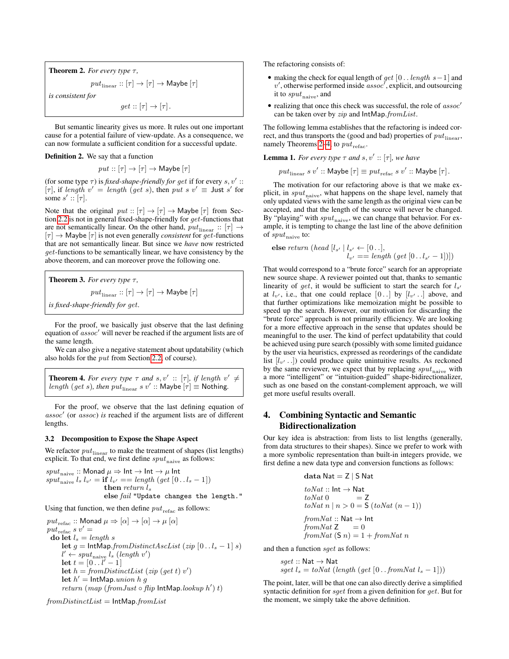**Theorem 2.** *For every type*  $\tau$ *,*  $put_{\text{linear}} :: [\tau] \rightarrow [\tau] \rightarrow \text{Maybe} [\tau]$ *is consistent for*  $get$   $::$   $[\tau]$   $\rightarrow$   $[\tau]$ .

But semantic linearity gives us more. It rules out one important cause for a potential failure of view-update. As a consequence, we can now formulate a sufficient condition for a successful update.

Definition 2. We say that a function

$$
put: : [\tau] \rightarrow [\tau] \rightarrow \text{Maybe } [\tau]
$$

(for some type  $\tau$ ) is *fixed-shape-friendly for get* if for every  $s, v'$  ::  $[\tau]$ , if length  $v' =$  length (get s), then put s  $v' \equiv$  Just s' for some  $s'$ :  $[\tau]$ .

Note that the original  $put: [\tau] \rightarrow [\tau] \rightarrow \text{Maybe } [\tau]$  from Section [2.2](#page-3-0) is not in general fixed-shape-friendly for get-functions that are not semantically linear. On the other hand,  $put_{\text{linear}} :: [\tau] \rightarrow$  $[\tau] \rightarrow$  Maybe  $[\tau]$  is not even generally *consistent* for *get*-functions that are not semantically linear. But since we *have* now restricted get-functions to be semantically linear, we have consistency by the above theorem, and can moreover prove the following one.

**Theorem 3.** *For every type*  $\tau$ *,*  $\mathit{put}_\mathrm{linear}::[\tau]\rightarrow[\tau]\rightarrow\mathsf{Maybe}\left[\tau\right]$ *is fixed-shape-friendly for* get*.*

For the proof, we basically just observe that the last defining equation of  $assoc'$  will never be reached if the argument lists are of the same length.

We can also give a negative statement about updatability (which also holds for the put from Section [2.2,](#page-3-0) of course).

**Theorem 4.** For every type 
$$
\tau
$$
 and  $s, v' :: [\tau]$ , if length  $v' \neq$  length (get s), then put<sub>linear</sub> s v' :: Maybe  $[\tau]$   $\equiv$  Nothing.

For the proof, we observe that the last defining equation of assoc' (or assoc) is reached if the argument lists are of different lengths.

### <span id="page-5-1"></span>3.2 Decomposition to Expose the Shape Aspect

We refactor  $put_{\mathrm{linear}}$  to make the treatment of shapes (list lengths) explicit. To that end, we first define  $sput_{\text{naive}}$  as follows:

$$
\begin{array}{l} \mathit{sput}_\mathrm{naive} :: \mathsf{Monad}\ \mu \Rightarrow \mathsf{Int} \to \mathsf{Int} \to \mu \ \mathsf{Int}\\ \mathit{sput}_\mathrm{naive}\ l_s\ l_{v'} = \mathbf{if}\ l_{v'} == \mathit{length}\ (\mathit{get}\ [0\mathinner{.} l_s-1])\\ \mathbf{then}\ \mathit{return}\ l_s \\ \mathbf{else}\ \mathit{fail}\ \ \mathsf{ "Update}\ \ \mathtt{changes}\ \ \mathtt{the}\ \ \mathtt{length}\ \cdot \end{array} \end{array}
$$

Using that function, we then define  $put_{\text{refac}}$  as follows:

 $\mathit{put}_\text{refac} :: \mathsf{Monad}\ \mu \Rightarrow [\alpha] \to [\alpha] \to \mu\ [\alpha]$  $put_{\text{refac}}$ s $v'=$ do let  $l_s = length s$ let  $g = \text{IntMap}.from DistinctAscList (zip  $[0..l_s-1]$  s)$  $l' \leftarrow sput_{\text{naive}} l_s \ (length \ v')$  $\det t = [0 \dots l' - 1]$ let  $h = from DistinctList (zip (get t) v')$  $\det h' = \text{IntMap}.union h g$ return (map (from Just  $\circ$  flip IntMap.lookup h')t)

$$
from DistinctList={\sf IntMap}.from List
$$

The refactoring consists of:

- making the check for equal length of  $get [0..length s-1]$  and  $v'$ , otherwise performed inside  $assoc<sup>7</sup>$ , explicit, and outsourcing it to  $sput_{\rm naive},$  and
- realizing that once this check was successful, the role of  $assoc'$ can be taken over by  $zip$  and  $IntMap.formatList$ .

The following lemma establishes that the refactoring is indeed correct, and thus transports the (good and bad) properties of  $put_{\text{linear}}$ , namely Theorems [2–](#page-4-2)[4,](#page-5-0) to  $put_{\rm refac}$ .

**Lemma 1.** For every type  $\tau$  and  $s, v' :: [\tau]$ , we have

$$
\textit{put}_{\text{linear}} \ s \ v' :: \textsf{Mapbe}\ [\tau] \equiv \textit{put}_{\text{refac}} \ s \ v' :: \textsf{Mapbe}\ [\tau]\,.
$$

The motivation for our refactoring above is that we make explicit, in  $sput_{\text{naive}}$ , what happens on the shape level, namely that only updated views with the same length as the original view can be accepted, and that the length of the source will never be changed. By "playing" with  $sput_{\text{naive}}$ , we can change that behavior. For example, it is tempting to change the last line of the above definition of  $sput_{\text{naive}}$  to:

else return (head 
$$
[l_{s'} | l_{s'} \leftarrow [0..],
$$
  
 $l_{v'} == length (get [0..l_{s'}-1])])$ 

That would correspond to a "brute force" search for an appropriate new source shape. A reviewer pointed out that, thanks to semantic linearity of get, it would be sufficient to start the search for  $l_s$ at  $l_{v'}$ , i.e., that one could replace  $[0 \tcdot \tcdot]$  by  $[l_{v'} \tcdot \tcdot]$  above, and that further optimizations like memoization might be possible to speed up the search. However, our motivation for discarding the "brute force" approach is not primarily efficiency. We are looking for a more effective approach in the sense that updates should be meaningful to the user. The kind of perfect updatability that could be achieved using pure search (possibly with some limited guidance by the user via heuristics, expressed as reorderings of the candidate list  $[l_{v'}]$  ...]) could produce quite unintuitive results. As reckoned by the same reviewer, we expect that by replacing  $sput_{\text{naive}}$  with a more "intelligent" or "intuition-guided" shape-bidirectionalizer, such as one based on the constant-complement approach, we will get more useful results overall.

# <span id="page-5-2"></span><span id="page-5-0"></span>4. Combining Syntactic and Semantic Bidirectionalization

Our key idea is abstraction: from lists to list lengths (generally, from data structures to their shapes). Since we prefer to work with a more symbolic representation than built-in integers provide, we first define a new data type and conversion functions as follows:

$$
\mathbf{data}\ \mathsf{Nat} = \mathsf{Z} \ | \ \mathsf{S}\ \mathsf{Nat}
$$

$$
toNat::Int \to Nat
$$
  
\n
$$
toNat 0 = Z
$$
  
\n
$$
toNat n | n > 0 = S (toNat (n - 1))
$$
  
\n
$$
fromNat::Nat \to Int
$$
  
\n
$$
fromNat Z = 0
$$

fromNat  $(S n) = 1 + fromNat n$ 

and then a function sget as follows:

$$
\begin{array}{l} \hspace{2.2cm} sget:: \textsf{Nat} \rightarrow \textsf{Nat} \\ sget \;l_s = toNat \;(\textit{length} \;(\textit{get}\;[0 \mathinner{.\,.} \textit{fromNat} \;l_s - 1])) \end{array}
$$

The point, later, will be that one can also directly derive a simplified syntactic definition for sget from a given definition for get. But for the moment, we simply take the above definition.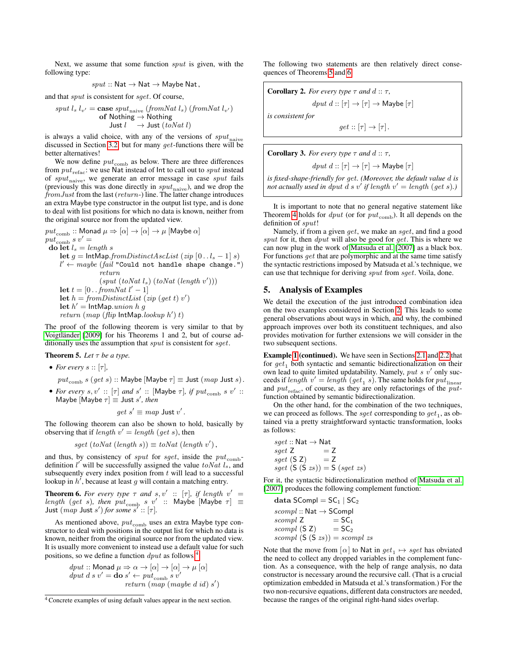Next, we assume that some function sput is given, with the following type:

 $sput::$  Nat  $\rightarrow$  Nat  $\rightarrow$  Maybe Nat,

and that sput is consistent for sget. Of course,

$$
sput \, l_s \, l_{v'} = \text{case} \, sput_{\text{naive}} \, (from Nat \, l_s) \, (from Nat \, l_{v'})
$$
\n
$$
\text{of Nothing} \rightarrow \text{Nothing}
$$
\n
$$
\text{Just } l \rightarrow \text{Just } (to Nat \, l)
$$

is always a valid choice, with any of the versions of  $sput_{\rm naive}$ discussed in Section [3.2,](#page-5-1) but for many get-functions there will be better alternatives!

We now define  $put_{\text{comb}}$  as below. There are three differences from  $put_{\text{refac}}$ : we use Nat instead of Int to call out to sput instead of  $sput_{\text{naive}}$ , we generate an error message in case  $sput$  fails (previously this was done directly in  $sput_{\text{naive}}$ ), and we drop the fromJust from the last (return-) line. The latter change introduces an extra Maybe type constructor in the output list type, and is done to deal with list positions for which no data is known, neither from the original source nor from the updated view.

$$
\begin{array}{l} put_{\text{comb}}::\text{Monad}\ \mu \Rightarrow [\alpha]\rightarrow [\alpha]\rightarrow \mu\ [\text{Maybe}\ \alpha] \\ put_{\text{comb}}\: s\ v' = \\ \text{do let}\ l_s = length\: s \\ \text{let}\ g = \text{IntMap}.fromDistinctAsclist\ (zip \ [0\mathinner{.}.l_s-1]\ s) \\ l' \leftarrow maybe\ (fail\ \text{"Could not handle shape change."}\ ) \\ return \qquad \qquad (sput\ (toNat\ l_s)\ (toNat\ (length\ v'))) \\ \text{let}\ t = [0\mathinner{.}.fromNat\ l'-1] \\ \text{let}\ h = fromDistinctList\ (zip\ (get\ t)\ v') \\ \text{let}\ h' = \text{IntMap.union}\ h\ g \\ return\ (map\ (flip\ \text{IntMap.lookup}\ h')\ t) \\ \text{The proof of the following theorem is very similar to that by} \end{array}
$$

Voigtländer [\[2009\]](#page-11-1) for his Theorems 1 and 2, but of course additionally uses the assumption that sput is consistent for sget.

### **Theorem 5.** Let  $\tau$  be a type.

• *For every*  $s$  ::  $[\tau]$ *,* 

 $put_{\text{comb}} s (get s) :: \text{Maybe } [\text{Maybe } \tau] \equiv \text{Just } (map \text{ Just } s).$ 

• For every  $s, v' :: [\tau]$  and  $s' ::$  [Maybe  $\tau$ ], if  $put_{\text{comb}} s v' ::$ Maybe  $[Ma$ ybe  $\tau] \equiv$  Just s', then

 $get s' \equiv map$  Just  $v'$ .

The following theorem can also be shown to hold, basically by observing that if length  $v' = length (get s)$ , then

$$
sget (toNat (length s)) \equiv toNat (length v'),
$$

and thus, by consistency of sput for sget, inside the  $put_{\rm comb}$ definition l' will be successfully assigned the value to Nat  $l_s$ , and subsequently every index position from  $t$  will lead to a successful lookup in  $h'$ , because at least g will contain a matching entry.

**Theorem 6.** For every type  $\tau$  and  $s, v' :: [\tau]$ , if length  $v' =$ length (get s), then  $put_{\text{comb}}$  s v' :: Maybe [Maybe  $\tau$ ]  $\equiv$  $Just (map Just s') for some s' :: [7].$ 

As mentioned above,  $put_{\text{comb}}$  uses an extra Maybe type constructor to deal with positions in the output list for which no data is known, neither from the original source nor from the updated view. It is usually more convenient to instead use a default value for such positions, so we define a function  $dput$  as follows:<sup>[4](#page-6-0)</sup>

$$
dput :: \text{Monad } \mu \Rightarrow \alpha \to [\alpha] \to [\alpha] \to \mu [\alpha]
$$
  

$$
dput d s v' = \text{do } s' \leftarrow put_{\text{comb}} s v'
$$
  

$$
return (map (maybe d id) s')
$$

The following two statements are then relatively direct consequences of Theorems [5](#page-6-1) and [6.](#page-6-2)

**Corollary 2.** *For every type*  $\tau$  *and*  $d$  ::  $\tau$ *,* 

*dput d* ::  $[\tau] \rightarrow [\tau] \rightarrow$  Maybe  $[\tau]$ 

*is consistent for*

<span id="page-6-3"></span> $get: [\tau] \rightarrow [\tau]$ .

<span id="page-6-4"></span>**Corollary 3.** *For every type*  $\tau$  *and*  $d$  ::  $\tau$ *,* 

$$
dput d
$$
 ::  $[\tau] \rightarrow [\tau] \rightarrow \text{Maybe } [\tau]$ 

*is fixed-shape-friendly for* get*. (Moreover, the default value* d *is not actually used in dput d s v' if length*  $v' =$  *length (get s).*)

It is important to note that no general negative statement like Theorem [4](#page-5-0) holds for  $dput$  (or for  $put_{\text{comb}}$ ). It all depends on the definition of sput!

Namely, if from a given get, we make an sget, and find a good sput for it, then *dput* will also be good for *qet*. This is where we can now plug in the work of [Matsuda et al.](#page-11-0) [\[2007\]](#page-11-0) as a black box. For functions get that are polymorphic and at the same time satisfy the syntactic restrictions imposed by Matsuda et al.'s technique, we can use that technique for deriving sput from sget. Voila, done.

### <span id="page-6-5"></span>5. Analysis of Examples

We detail the execution of the just introduced combination idea on the two examples considered in Section [2.](#page-1-0) This leads to some general observations about ways in which, and why, the combined approach improves over both its constituent techniques, and also provides motivation for further extensions we will consider in the two subsequent sections.

<span id="page-6-1"></span>Example [1](#page-2-2) (continued). We have seen in Sections [2.1](#page-1-2) and [2.2](#page-3-0) that for  $get_1$  both syntactic and semantic bidirectionalization on their own lead to quite limited updatability. Namely,  $put\ s\ v'$  only succeeds if  $\text{length } v' = \text{length } (\text{get}_1 \text{ } s)$ . The same holds for  $\text{put}_{\text{linear}}$ and  $put_{refac}$ , of course, as they are only refactorings of the  $put$ function obtained by semantic bidirectionalization.

On the other hand, for the combination of the two techniques, we can proceed as follows. The *sget* corresponding to  $get_1$ , as obtained via a pretty straightforward syntactic transformation, looks as follows:

$$
sget :: Nat \rightarrow Nat
$$
  
\n
$$
sget Z = Z
$$
  
\n
$$
sget (S Z) = Z
$$
  
\n
$$
sget (S (S zs)) = S (sget zs)
$$

<span id="page-6-2"></span>For it, the syntactic bidirectionalization method of [Matsuda et al.](#page-11-0) [\[2007\]](#page-11-0) produces the following complement function:

$$
\begin{array}{ll}\n\textbf{data SCompl} = \textbf{SC}_1 \mid \textbf{SC}_2 \\
\textit{scompl} :: \textsf{Nat} \rightarrow \textsf{SCompl} \\
\textit{scompl Z} &= \textbf{SC}_1 \\
\textit{scompl} \mid (\textbf{S} \mid \textbf{Z}) &= \textbf{SC}_2 \\
\textit{scompl} \mid (\textbf{S} \mid (\textbf{S} \mid \textbf{z}s)) = \textit{scompl z}\n\end{array}
$$

Note that the move from  $[\alpha]$  to Nat in  $get_1 \mapsto \mathit{sget}$  has obviated the need to collect any dropped variables in the complement function. As a consequence, with the help of range analysis, no data constructor is necessary around the recursive call. (That is a crucial optimization embedded in Matsuda et al.'s transformation.) For the two non-recursive equations, different data constructors are needed, because the ranges of the original right-hand sides overlap.

<span id="page-6-0"></span><sup>4</sup> Concrete examples of using default values appear in the next section.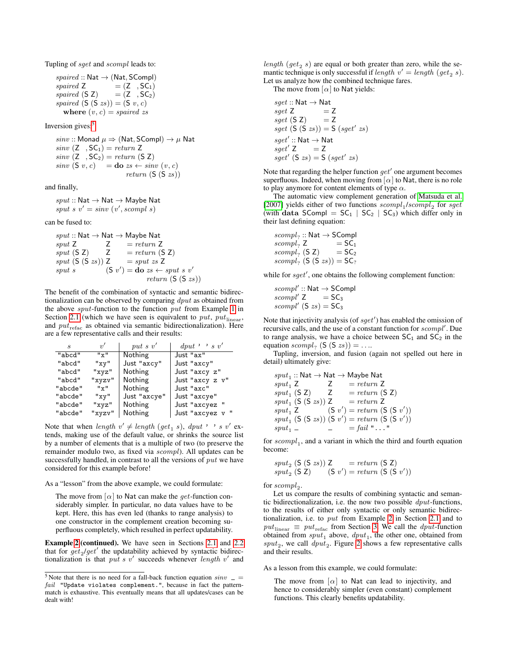Tupling of sget and scompl leads to:

 $spaired::$  Nat  $\rightarrow$  (Nat, SCompl)  ${spaired\;Z} \qquad \quad = (Z\quad , SC_1)$ spaired  $(S Z)$  =  $(Z , SC_2)$ spaired  $(S (S zs)) = (S v, c)$ where  $(v, c) =$  spaired zs

Inversion gives:<sup>[5](#page-7-0)</sup>

sinv :: Monad  $\mu \Rightarrow$  (Nat, SCompl)  $\rightarrow \mu$  Nat  $sinv$  (Z,  $SC_1$ ) = return Z  $sinv$  (Z,  $SC_2$ ) = return (S Z)  $\sin v$  (S v, c) = do zs  $\leftarrow$  sinv (v, c) return  $(S(S \text{ }zs))$ 

and finally,

$$
sput :: Nat \rightarrow Nat \rightarrow Maybe Nat
$$
  

$$
sput s v' = sin v (v', scompl s)
$$

can be fused to:

 $sput::$  Nat  $\rightarrow$  Nat  $\rightarrow$  Maybe Nat sput  $Z = return Z$ sput  $(S Z)$   $Z = return (S Z)$ sput  $(S (S zs)) Z = sput xs Z$  $sput s$  $(v') =$ **do**  $zs \leftarrow sput s v'$ return  $(S (S zs))$ 

The benefit of the combination of syntactic and semantic bidirectionalization can be observed by comparing dput as obtained from the above  $sput$ -function to the function  $put$  from Example [1](#page-2-2) in Section [2.1](#page-1-2) (which we have seen is equivalent to put,  $put_{linear}$ , and  $put_{\text{refac}}$  as obtained via semantic bidirectionalization). Here are a few representative calls and their results:

| $\eta'$                             | put $s$ v'   | $dyut$ , $s$ v   |
|-------------------------------------|--------------|------------------|
| 11 <sub>X</sub> 11                  | Nothing      | Just " $ax$ "    |
| "xx"                                | Just "axcy"  | Just "axcy"      |
| "xyz"                               | Nothing      | Just "axcy z"    |
| "xyzv"                              | Nothing      | Just "axcy z v"  |
| $\mathbf{u}_{\mathbf{x}}\mathbf{u}$ | Nothing      | Just "axc"       |
| "xy"                                | Just "axcye" | Just "axcye"     |
| "xyz"                               | Nothing      | Just "axcyez "   |
| "xyzv"                              | Nothing      | Just "axcyez v " |
|                                     |              |                  |

Note that when length  $v' \neq length (get_1 s)$ , dput ' ' s v' extends, making use of the default value, or shrinks the source list by a number of elements that is a multiple of two (to preserve the remainder modulo two, as fixed via scompl). All updates can be successfully handled, in contrast to all the versions of  $put$  we have considered for this example before!

As a "lesson" from the above example, we could formulate:

The move from  $\lceil \alpha \rceil$  to Nat can make the *get*-function considerably simpler. In particular, no data values have to be kept. Here, this has even led (thanks to range analysis) to one constructor in the complement creation becoming superfluous completely, which resulted in perfect updatability.

Example [2](#page-2-3) (continued). We have seen in Sections [2.1](#page-1-2) and [2.2](#page-3-0) that for  $get_2/get'$  the updatability achieved by syntactic bidirectionalization is that put s v' succeeds whenever length v' and

length (get<sub>2</sub> s) are equal or both greater than zero, while the semantic technique is only successful if length  $v' = length (get_2 s)$ . Let us analyze how the combined technique fares.

The move from  $\lceil \alpha \rceil$  to Nat yields:

$$
sget :: Nat \rightarrow Nat
$$
  
\n
$$
sget Z = Z
$$
  
\n
$$
sget (S Z) = Z
$$
  
\n
$$
sget (S (S zs)) = S (sget' zs)
$$
  
\n
$$
sget' :: Nat \rightarrow Nat
$$
  
\n
$$
sget' Z = Z
$$
  
\n
$$
sget' (S zs) = S (sget' zs)
$$

Note that regarding the helper function  $get'$  one argument becomes superfluous. Indeed, when moving from  $\alpha$  to Nat, there is no role to play anymore for content elements of type  $\alpha$ .

The automatic view complement generation of [Matsuda et al.](#page-11-0) [\[2007\]](#page-11-0) yields either of two functions  $scompl_1/scompl_2$  for  $sget$ (with data SCompl =  $SC_1$  |  $SC_2$  |  $SC_3$ ) which differ only in their last defining equation:

$$
\begin{array}{ll}\nscompl_? : \mathsf{Nat} \to \mathsf{SCompl} \\
scompl_? \mathsf{Z} & = \mathsf{SC}_1 \\
scompl_? \mathsf{(S Z)} & = \mathsf{SC}_2 \\
scompl_? \mathsf{(S (S z s))} = \mathsf{SC}_?
$$

while for  $sget'$ , one obtains the following complement function:

$$
scompl' :: Nat \rightarrow SCompl
$$
  
 
$$
scompl' Z = SC_3
$$
  
 
$$
scompl' (S zs) = SC_3
$$

Note that injectivity analysis (of  $sget'$ ) has enabled the omission of recursive calls, and the use of a constant function for  $scompl'$ . Due to range analysis, we have a choice between  $SC_1$  and  $SC_2$  in the equation  $\text{scompl}_?$  (S (S  $\text{zs})$ ) = ....

Tupling, inversion, and fusion (again not spelled out here in detail) ultimately give:

|                | $sput_1 :: Nat \rightarrow Nat \rightarrow Maybe Nat$ |               |              |                                    |  |  |
|----------------|-------------------------------------------------------|---------------|--------------|------------------------------------|--|--|
| $sput_1$ Z     |                                                       | $\mathcal{L}$ |              | $=$ return $Z$                     |  |  |
| $sput_1$ (S Z) |                                                       |               | $\mathbb{Z}$ | $= return (S Z)$                   |  |  |
|                | $sput_1$ (S (S $zs$ )) Z                              |               |              | $=$ return $Z$                     |  |  |
| $sput_1$ Z     |                                                       |               |              | $(S \, v') = return (S (S \, v'))$ |  |  |
|                | $sput_1(S(Szs)) (S v') = return (S(S v'))$            |               |              |                                    |  |  |
| $sput_{1-1}$   |                                                       |               |              | $= fail$ ""                        |  |  |

for  $\mathit{scompl}_1$ , and a variant in which the third and fourth equation become:

$$
sput_{2} (S (S zs)) Z = return (S Z)
$$
  
\n
$$
sput_{2} (S Z) (S v') = return (S (S v'))
$$

for  $\mathit{scompl}_2$ .

Let us compare the results of combining syntactic and semantic bidirectionalization, i.e. the now two possible dput-functions, to the results of either only syntactic or only semantic bidirectionalization, i.e. to put from Example [2](#page-2-3) in Section [2.1](#page-1-2) and to  $put_{linear} \equiv put_{refac}$  from Section [3.](#page-4-3) We call the *dput*-function obtained from  $sput_1$  above,  $dput_1$ , the other one, obtained from  $sput_2$ , we call  $dput_2$ . Figure [2](#page-8-0) shows a few representative calls and their results.

As a lesson from this example, we could formulate:

The move from  $\lceil \alpha \rceil$  to Nat can lead to injectivity, and hence to considerably simpler (even constant) complement functions. This clearly benefits updatability.

<span id="page-7-0"></span><sup>&</sup>lt;sup>5</sup> Note that there is no need for a fall-back function equation  $sinv =$ fail "Update violates complement.", because in fact the patternmatch is exhaustive. This eventually means that all updates/cases can be dealt with!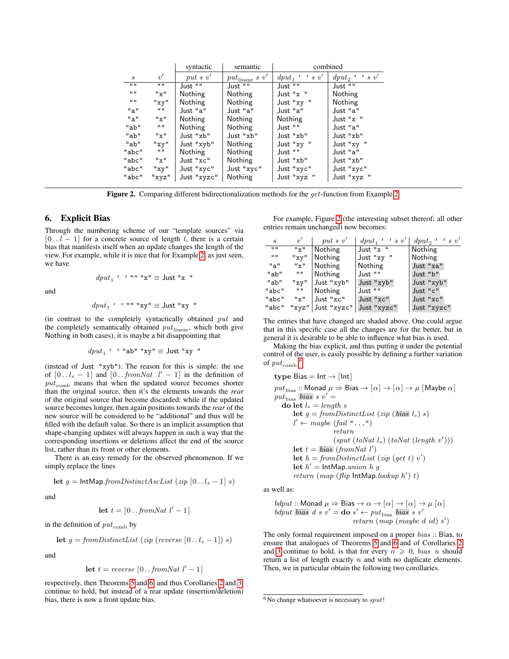|                  |                                     | syntactic   | semantic                   |                                        | combined          |
|------------------|-------------------------------------|-------------|----------------------------|----------------------------------------|-------------------|
| $\boldsymbol{s}$ | v'                                  | put $s$ v'  | $put_{\text{linear}} s v'$ | $dput_1$ , , s v'                      | $dput_2$ , $s$ v' |
| 1111             | <b>11 11</b>                        | Just ""     | Just ""                    | Just $\overline{\mathsf{u}\mathsf{u}}$ | Just ""           |
| H H              | $\mathbf{u}_{\mathbf{X}}\mathbf{u}$ | Nothing     | Nothing                    | Just "x "                              | Nothing           |
| H H              | " $xy$ "                            | Nothing     | <b>Nothing</b>             | Just "xy "                             | Nothing           |
| "a"              | <b>HH</b>                           | Just "a"    | Just "a"                   | Just "a"                               | Just "a"          |
| "a"              | $\mathbf{u}_{\mathbf{x}}$           | Nothing     | Nothing                    | <b>Nothing</b>                         | Just "x "         |
| "ab"             | H H                                 | Nothing     | Nothing                    | Just ""                                | Just "a"          |
| "ab"             | $\mathbf{u}_{\mathbf{x}}\mathbf{u}$ | Just "xb"   | Just "xb"                  | Just "xb"                              | Just "xb"         |
| "ab"             | " $xy$ "                            | Just "xyb"  | Nothing                    | Just "xy "                             | Just "xy "        |
| "abc"            | H H                                 | Nothing     | Nothing                    | Just ""                                | Just "a"          |
| "abc"            | $\mathbf{u}_{\mathbf{x}}$           | Just "xc"   | <b>Nothing</b>             | Just "xb"                              | Just "xb"         |
| "abc"            | "xy"                                | Just "xyc"  | Just "xyc"                 | Just "xyc"                             | Just "xyc"        |
| "abc"            | "xyz"                               | Just "xyzc" | Nothing                    | Just "xyz "                            | Just "xyz "       |

<span id="page-8-0"></span>Figure [2.](#page-2-3) Comparing different bidirectionalization methods for the *get*-function from Example 2.

# <span id="page-8-2"></span>6. Explicit Bias

Through the numbering scheme of our "template sources" via  $[0 \tldots l - 1]$  for a concrete source of length l, there is a certain bias that manifests itself when an update changes the length of the view. For example, while it is nice that for Example [2,](#page-2-3) as just seen, we have

and

$$
dput_1 \qquad \cdots \qquad \mathbf{u} \mathbf{u} = \mathbf{J} \mathbf{u} \mathbf{x} \mathbf{u} = \mathbf{u}
$$

$$
\mathit{dput}_1~\phantom{}^{'}~\phantom{}^{'}~\phantom{}^{''}~\phantom{}^{''}~\phantom{}^{''}~\times~\phantom{}^{''}~\phantom{}~^{''}~\times~\phantom{}~^{''}~\phantom{}~^{''}~\equiv~\phantom{} \mathrm{Just}~\phantom{}^{''}~\times~\phantom{}~^{''}~
$$

(in contrast to the completely syntactically obtained  $put$  and the completely semantically obtained  $put_{\text{linear}}$ , which both give Nothing in both cases), it is maybe a bit disappointing that

$$
\mathit{dput}_1~\phantom{}^{,\phantom{}^{,\phantom{}^\ast}}~\phantom{}^{,\phantom{}^\ast}~\phantom{}^{,\phantom{}^\ast}~\phantom{}~\textrm{ab} \text{\textbf{''}}~\phantom{}^\ast\!\!~\textrm{x} y \text{\textbf{''}}\equiv\textrm{Just}~\phantom{}^{,\phantom{}^\ast}\!\!~\textrm{x} y \text{\textbf{''}}\!~
$$

(instead of Just "xyb"). The reason for this is simple: the use of  $[0 \tldots l_s - 1]$  and  $[0 \tldots from Nat \t l' - 1]$  in the definition of  $put_{\text{comb}}$  means that when the updated source becomes shorter than the original source, then it's the elements towards the *rear* of the original source that become discarded; while if the updated source becomes longer, then again positions towards the *rear* of the new source will be considered to be "additional" and thus will be filled with the default value. So there is an implicit assumption that shape-changing updates will always happen in such a way that the corresponding insertions or deletions affect the end of the source list, rather than its front or other elements.

There is an easy remedy for the observed phenomenon. If we simply replace the lines

$$
let g = IntMap. from DistinctAscList (zip [0..l_s-1] s)
$$

and

$$
let t = [0..from Nat l' - 1]
$$

in the definition of  $put_{\text{comb}}$  by

let 
$$
g = from DistinctList (zip (reverse [0..l_s-1]) s)
$$

and

$$
let t = reverse [0..from Nat l' - 1]
$$

respectively, then Theorems [5](#page-6-1) and [6,](#page-6-2) and thus Corollaries [2](#page-6-3) and [3,](#page-6-4) continue to hold, but instead of a rear update (insertion/deletion) bias, there is now a front update bias.

For example, Figure [2](#page-8-0) (the interesting subset thereof; all other entries remain unchanged) now becomes:

| S         | v'                                  | put s $v'$  | $dput_1$ , $s v'   dput_2$ | $\cdot$ s v' |
|-----------|-------------------------------------|-------------|----------------------------|--------------|
| <b>HH</b> | $\mathbf{u}_{\mathbf{x}}\mathbf{u}$ | Nothing     | Just "x "                  | Nothing      |
| 11 H      | "xy"                                | Nothing     | Just "xy<br>$\blacksquare$ | Nothing      |
| "a"       | $\mathbf{u}_{\mathbf{x}}\mathbf{u}$ | Nothing     | Nothing                    | Just "xa"    |
| "ab"      | 1111                                | Nothing     | Just ""                    | Just "b"     |
| "ab"      | "xy"                                | Just "xyb"  | Just "xyb"                 | Just "xyb"   |
| "abc"     | <b>HH</b>                           | Nothing     | Just ""                    | Just "c"     |
| "abc"     | "x"                                 | Just "xc"   | Just "xc"                  | Just "xc"    |
| "abc"     | "xyz"                               | Just "xyzc" | Just "xyzc"                | Just "xyzc"  |

The entries that have changed are shaded above. One could argue that in this specific case all the changes are for the better, but in general it is desirable to be able to influence what bias is used.

Making the bias explicit, and thus putting it under the potential control of the user, is easily possible by defining a further variation of  $\mathit{put}_{\mathrm{comb}}$ :<sup>[6](#page-8-1)</sup>

```
\ntype Bias = Int \n| Int\n\nputbias :: Monad 
$$
\mu \Rightarrow
$$
 Bias \n|  $\alpha$  ] \n|  $\rightarrow$  [a] \n|  $\rightarrow$  [Maybe a]\n\nputbias bas s v' =\n    do let ls = length s\n    let g = fromDistinctList (zip (bias ls) s)\n    l' \n    ← maybe (fail "...")\n        return\n        (sput (toNat ls) (toNat (length v')))\n    let t = bias (fromNat l')\n    let h = fromDistinctList (zip (get t) v')\n    let h' = IntMap.union h g\n    return (map (flip IntMap.lookup h') t)\n
```

as well as:

*bdput* :: Monad 
$$
\mu \Rightarrow
$$
 Bias  $\rightarrow \alpha \rightarrow [\alpha] \rightarrow [\alpha] \rightarrow \mu [\alpha]$   
*bdput bias d s v'* = **do** s'  $\leftarrow$  put<sub>bias</sub> bias s v'  
*return (map (maybe d id) s'*)

The only formal requirement imposed on a proper bias :: Bias, to ensure that analogues of Theorems [5](#page-6-1) and [6](#page-6-2) and of Corollaries [2](#page-6-3) and [3](#page-6-4) continue to hold, is that for every  $n \geq 0$ , bias n should return a list of length exactly  $n$  and with no duplicate elements. Then, we in particular obtain the following two corollaries.

<span id="page-8-1"></span> $6$  No change whatsoever is necessary to  $sput!$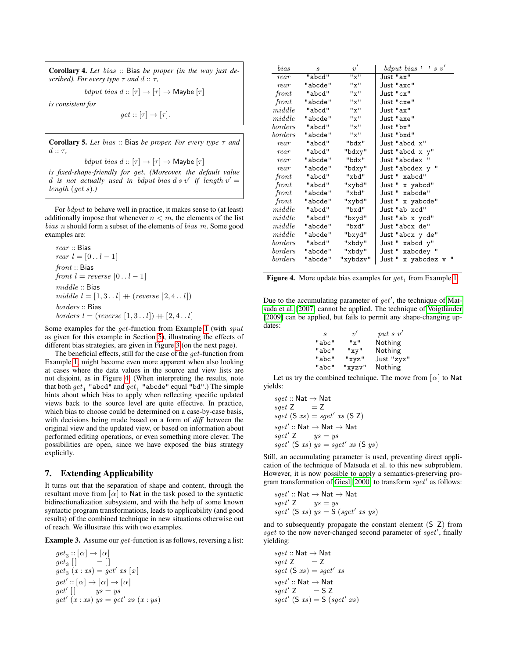Corollary 4. *Let* bias :: Bias *be proper (in the way just described). For every type*  $\tau$  *and*  $d$  ::  $\tau$ *,* 

bdput bias  $d : [\tau] \to [\tau] \to \mathsf{Maybe} [\tau]$ 

*is consistent for*

 $get: [\tau] \rightarrow [\tau]$ .

Corollary 5. *Let* bias :: Bias *be proper. For every type* τ *and*  $d :: \tau$ .

bdput bias  $d : [\tau] \rightarrow [\tau] \rightarrow$  Maybe  $[\tau]$ 

*is fixed-shape-friendly for* get*. (Moreover, the default value* d is not actually used in bdput bias  $d s v'$  if length  $v' =$ length (get s)*.)*

For bdput to behave well in practice, it makes sense to (at least) additionally impose that whenever  $n < m$ , the elements of the list bias n should form a subset of the elements of bias m. Some good examples are:

 $rear :: Bias$ rear  $l = [0 \dots l - 1]$ front: Bias front  $l = reverse [0..l - 1]$ middle :: Bias middle  $l = [1, 3.. l] + (reverse [2, 4.. l])$ borders :: Bias borders  $l = (reverse [1, 3.. l]) + [2, 4.. l]$ 

Some examples for the get-function from Example [1](#page-2-2) (with sput as given for this example in Section [5\)](#page-6-5), illustrating the effects of different bias strategies, are given in Figure [3](#page-10-0) (on the next page).

The beneficial effects, still for the case of the get-function from Example [1,](#page-2-2) might become even more apparent when also looking at cases where the data values in the source and view lists are not disjoint, as in Figure [4.](#page-9-0) (When interpreting the results, note that both  $get_1$  "abcd" and  $get_1$  "abcde" equal "bd".) The simple hints about which bias to apply when reflecting specific updated views back to the source level are quite effective. In practice, which bias to choose could be determined on a case-by-case basis, with decisions being made based on a form of *diff* between the original view and the updated view, or based on information about performed editing operations, or even something more clever. The possibilities are open, since we have exposed the bias strategy explicitly.

### 7. Extending Applicability

It turns out that the separation of shape and content, through the resultant move from  $\lceil \alpha \rceil$  to Nat in the task posed to the syntactic bidirectionalization subsystem, and with the help of some known syntactic program transformations, leads to applicability (and good results) of the combined technique in new situations otherwise out of reach. We illustrate this with two examples.

<span id="page-9-1"></span>Example 3. Assume our *get*-function is as follows, reversing a list:

$$
get_3 :: [\alpha] \rightarrow [\alpha]
$$
  
\n
$$
get_3 [] = []
$$
  
\n
$$
get_3 (x : xs) = get' xs [x]
$$
  
\n
$$
get' :: [\alpha] \rightarrow [\alpha] \rightarrow [\alpha]
$$
  
\n
$$
get' [] = ys
$$
  
\n
$$
get' (x : xs) ys = get' xs (x : ys)
$$

| bias    | $\boldsymbol{s}$ | $v^\prime$ | bdput bias $\cdot$ $\cdot$ s v'    |
|---------|------------------|------------|------------------------------------|
| rear    | "abcd"           | "x"        | Just "ax"                          |
| rear    | "abcde"          | "x"        | Just "axc"                         |
| front   | "abcd"           | "x"        | Just "cx"                          |
| front   | "abcde"          | "x"        | Just "cxe"                         |
| middle  | "abcd"           | "x"        | Just "ax"                          |
| middle  | "abcde"          | "x"        | Just "axe"                         |
| borders | "abcd"           | "x"        | Just "bx"                          |
| borders | "abcde"          | "x"        | Just "bxd"                         |
| rear    | "abcd"           | "bdx"      | Just "abcd x"                      |
| rear    | "abcd"           | "bdxy"     | Just "abcd x y"                    |
| rear    | "abcde"          | "bdx"      | Just "abcdex "                     |
| rear    | "abcde"          | "bdxy"     | Just "abcdex y "                   |
| front   | "abcd"           | "xbd"      | Just "xabcd"                       |
| front   | "abcd"           | "xybd"     | Just " x yabcd"                    |
| front   | "abcde"          | "xbd"      | Just " xabcde"                     |
| front   | "abcde"          | "xybd"     | Just " x yabcde"                   |
| middle  | "abcd"           | "bxd"      | Just "ab xcd"                      |
| middle  | "abcd"           | "bxyd"     | Just "ab x ycd"                    |
| middle  | "abcde"          | "bxd"      | Just "abcx de"                     |
| middle  | "abcde"          | "bxyd"     | Just "abcx y de"                   |
| borders | "abcd"           | "xbdy"     | Just " xabcd y"                    |
| borders | "abcde"          | "xbdy"     | xabcdey "<br>Just "                |
| borders | "abcde"          | "xybdzv"   | $\mathbf{u}$<br>Just " x yabcdez v |

<span id="page-9-0"></span>**Figure 4.** More update bias examples for  $get_1$  from Example [1.](#page-2-2)

Due to the accumulating parameter of  $get'$ , the technique of [Mat](#page-11-0)[suda et al.](#page-11-0) [\[2007\]](#page-11-0) cannot be applied. The technique of Voigtländer [\[2009\]](#page-11-1) can be applied, but fails to permit any shape-changing updates:

| S     | $\eta'$ | put $s$ v' |
|-------|---------|------------|
| "abc" | " x "   | Nothing    |
| "abc" | "xy"    | Nothing    |
| "abc" | "xyz"   | Just "zyx" |
| "abc" | "xyzv"  | Nothing    |

Let us try the combined technique. The move from  $\lceil \alpha \rceil$  to Nat yields:

$$
sget :: Nat \rightarrow Nat
$$
  
\n
$$
sget Z = Z
$$
  
\n
$$
sget (S xs) = sget' xs (S Z)
$$
  
\n
$$
sget' :: Nat \rightarrow Nat \rightarrow Nat
$$
  
\n
$$
sget' Z = ys
$$
  
\n
$$
sget' (S xs) ys = sget' xs (S ys)
$$

Still, an accumulating parameter is used, preventing direct application of the technique of Matsuda et al. to this new subproblem. However, it is now possible to apply a semantics-preserving pro-gram transformation of [Giesl](#page-11-16) [\[2000\]](#page-11-16) to transform  $\frac{sqrt}{}$  as follows:

$$
sget'::\mathsf{Nat} \to \mathsf{Nat} \to \mathsf{Nat}
$$
  

$$
sget' \mathsf{Z} \qquad ys = ys
$$
  

$$
sget' (\mathsf{S} xs) ys = \mathsf{S} (sget' xs ys)
$$

and to subsequently propagate the constant element (S Z) from sget to the now never-changed second parameter of  $sget'$ , finally yielding:

 $\mathit{sget} :: \mathsf{Nat} \rightarrow \mathsf{Nat}$  $sget Z = Z$  $sget(Sxs) = sget'xs$  $\mathit{sget}' :: \mathsf{Nat} \to \mathsf{Nat}$  $sget'$  Z = S Z  $sget'$  (S  $xs$ ) = S (sget'  $xs$ )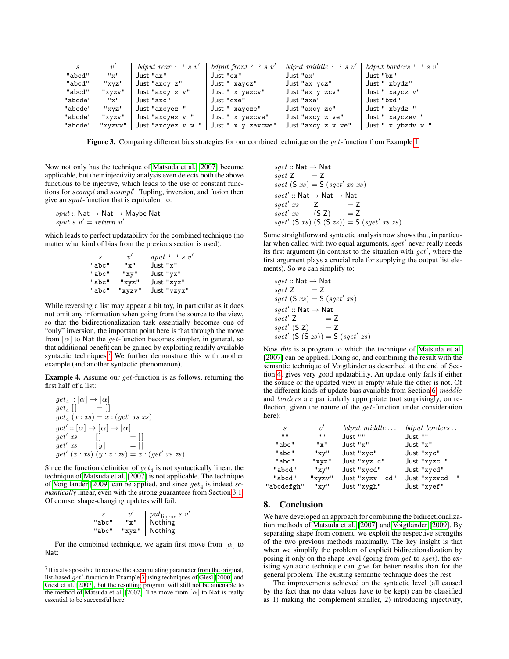| S       | v       | bdput rear $\cdot$ $\cdot$ s v' | bdput front $\cdot$ $\cdot$ s v' | bdput middle $\cdot$ $\cdot$ s v' | bdput borders $\cdot$ $\cdot$ s v' |
|---------|---------|---------------------------------|----------------------------------|-----------------------------------|------------------------------------|
| "abcd"  | "x"     | Just "ax"                       | Just "cx"                        | Just "ax"                         | Just "bx"                          |
| "abcd"  | "xyz"   | Just "axcy z"                   | Just " xaycz"                    | Just "ax ycz"                     | Just " xbydz"                      |
| "abcd"  | "xyzv"  | Just "axcy z v"                 | Just " x yazcv"                  | Just "ax y zcv"                   | Just " xaycz v"                    |
| "abcde" | "x"     | Just "axc"                      | Just "cxe"                       | Just "axe"                        | Just "bxd"                         |
| "abcde" | "xyz"   | Just "axcyez "                  | Just " xaycze"                   | Just "axcy ze"                    | Just " xbydz "                     |
| "abcde" | "xyzv"  | Just "axcyez v "                | Just " x yazcve"                 | Just "axcy z ve"                  | Just " xayczev "                   |
| "abcde" | "xyzvw" | Just "axcyez v w "              | Just " x y zavcwe"               | Just "axcy z v we"                | Just " x vbzdv w"                  |

<span id="page-10-0"></span>Figure 3. Comparing different bias strategies for our combined technique on the get-function from Example [1.](#page-2-2)

Now not only has the technique of [Matsuda et al.](#page-11-0) [\[2007\]](#page-11-0) become applicable, but their injectivity analysis even detects both the above functions to be injective, which leads to the use of constant functions for  $scompl$  and  $scompl'$ . Tupling, inversion, and fusion then give an sput-function that is equivalent to:

$$
sput :: Nat \rightarrow Nat \rightarrow Maybe Nat
$$
  

$$
sput s v' = return v'
$$

which leads to perfect updatability for the combined technique (no matter what kind of bias from the previous section is used):

| $v^{\prime}$ | $\cdot$ s v'<br>$dput$ , |
|--------------|--------------------------|
| <b>ո</b> ար  | Just "x"                 |
| "xy"         | Just "yx"                |
| "xyz"        | Just "zyx"               |
| "xyzv"       | Just "vzyx"              |
|              |                          |

While reversing a list may appear a bit toy, in particular as it does not omit any information when going from the source to the view, so that the bidirectionalization task essentially becomes one of "only" inversion, the important point here is that through the move from  $\lceil \alpha \rceil$  to Nat the get-function becomes simpler, in general, so that additional benefit can be gained by exploiting readily available syntactic techniques.<sup>[7](#page-10-1)</sup> We further demonstrate this with another example (and another syntactic phenomenon).

Example 4. Assume our get-function is as follows, returning the first half of a list:

$$
get_4 :: [\alpha] \rightarrow [\alpha]
$$
  
\n
$$
get_4 [] = []
$$
  
\n
$$
get_4 (x : xs) = x : (get' xs xs)
$$
  
\n
$$
get' :: [\alpha] \rightarrow [\alpha] \rightarrow [\alpha]
$$
  
\n
$$
get' xs [] = []
$$
  
\n
$$
get' (x : xs) (y : z : zs) = x : (get' xs xs)
$$

Since the function definition of  $get_4$  is not syntactically linear, the technique of [Matsuda et al.](#page-11-0) [\[2007\]](#page-11-0) is not applicable. The technique of Voigtländer [\[2009\]](#page-11-1) can be applied, and since  $get_4$  is indeed  $se$ *mantically* linear, even with the strong guarantees from Section [3.1.](#page-4-4) Of course, shape-changing updates will fail:

$$
\begin{array}{c|c|c} s & v' & put_{\text{linear}} s v' \\ \hline "abc" & "x" & \text{Nothing} \\ "abc" & "xyz" & \text{Nothing} \end{array}
$$

For the combined technique, we again first move from  $\lceil \alpha \rceil$  to Nat:

$$
sget :: Nat \rightarrow Nat
$$
  
\n
$$
sget Z = Z
$$
  
\n
$$
sget (S xs) = S (sget' xs xs)
$$
  
\n
$$
sget' :: Nat \rightarrow Nat \rightarrow Nat
$$
  
\n
$$
sget' xs Z = Z
$$
  
\n
$$
sget' xs (S Z) = Z
$$
  
\n
$$
sget' (S xs) (S (S zs)) = S (sget' xs xs)
$$

Some straightforward syntactic analysis now shows that, in particular when called with two equal arguments,  $\mathit{sget}'$  never really needs its first argument (in contrast to the situation with  $get'$ , where the first argument plays a crucial role for supplying the output list elements). So we can simplify to:

$$
sget :: Nat \rightarrow Nat
$$
  
\n
$$
sget Z = Z
$$
  
\n
$$
sget (S xs) = S (sget' xs)
$$
  
\n
$$
sget' :: Nat \rightarrow Nat
$$
  
\n
$$
sget' Z = Z
$$
  
\n
$$
sget' (S (S xs)) = S (sget' zs)
$$

<span id="page-10-2"></span>Now *this* is a program to which the technique of [Matsuda et al.](#page-11-0) [\[2007\]](#page-11-0) can be applied. Doing so, and combining the result with the semantic technique of Voigtländer as described at the end of Section [4,](#page-5-2) gives very good updatability. An update only fails if either the source or the updated view is empty while the other is not. Of the different kinds of update bias available from Section [6,](#page-8-2) middle and borders are particularly appropriate (not surprisingly, on reflection, given the nature of the get-function under consideration here):

| S          | $\eta'$                             | bdput $middle \ldots$ | bdput borders                |
|------------|-------------------------------------|-----------------------|------------------------------|
| 1111       | <b>HH</b>                           | Just ""               | Just ""                      |
| "abc"      | $\mathbf{u}_{\mathbf{x}}\mathbf{u}$ | Just "x"              | Just "x"                     |
| "abc"      | "xy"                                | Just "xyc"            | Just "xyc"                   |
| "abc"      | "xyz"                               | Just "xyz c"          | Just "xyzc "                 |
| "abcd"     | "xy"                                | Just "xycd"           | Just "xycd"                  |
| "abcd"     | "xyzv"                              | Just "xyzv<br>cd"     | $\mathbf{u}$<br>Just "xyzvcd |
| "abcdefgh" | "xy"                                | Just "xygh"           | Just "xyef"                  |

#### 8. Conclusion

We have developed an approach for combining the bidirectionaliza-tion methods of [Matsuda et al.](#page-11-0) [\[2007\]](#page-11-0) and Voigtländer [\[2009\]](#page-11-1). By separating shape from content, we exploit the respective strengths of the two previous methods maximally. The key insight is that when we simplify the problem of explicit bidirectionalization by posing it only on the shape level (going from get to sget), the existing syntactic technique can give far better results than for the general problem. The existing semantic technique does the rest.

The improvements achieved on the syntactic level (all caused by the fact that no data values have to be kept) can be classified as 1) making the complement smaller, 2) introducing injectivity,

<span id="page-10-1"></span> $<sup>7</sup>$  It is also possible to remove the accumulating parameter from the original,</sup> list-based  $get'$ -function in Example [3](#page-9-1) using techniques of [Giesl](#page-11-16) [\[2000\]](#page-11-16) and [Giesl et al.](#page-11-17) [\[2007\]](#page-11-17), but the resulting program will still not be amenable to the method of [Matsuda et al.](#page-11-0) [\[2007\]](#page-11-0). The move from  $\lceil \alpha \rceil$  to Nat is really essential to be successful here.